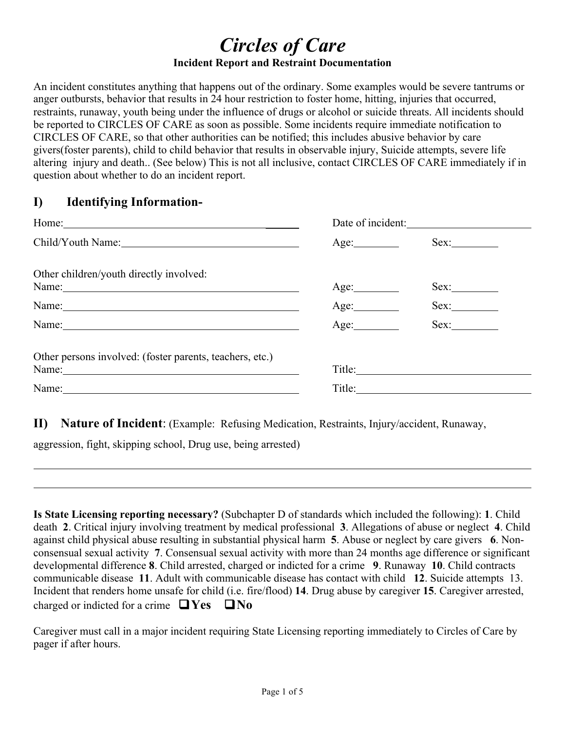# *Circles of Care* **Incident Report and Restraint Documentation**

An incident constitutes anything that happens out of the ordinary. Some examples would be severe tantrums or anger outbursts, behavior that results in 24 hour restriction to foster home, hitting, injuries that occurred, restraints, runaway, youth being under the influence of drugs or alcohol or suicide threats. All incidents should be reported to CIRCLES OF CARE as soon as possible. Some incidents require immediate notification to CIRCLES OF CARE, so that other authorities can be notified; this includes abusive behavior by care givers(foster parents), child to child behavior that results in observable injury, Suicide attempts, severe life altering injury and death.. (See below) This is not all inclusive, contact CIRCLES OF CARE immediately if in question about whether to do an incident report.

## **I) Identifying Information-**

| Home: $\sqrt{2\pi r}$                                    | Date of incident: |        |
|----------------------------------------------------------|-------------------|--------|
| Child/Youth Name: 1988                                   | Age:              | Sex:   |
| Other children/youth directly involved:                  |                   |        |
| Name:                                                    |                   | Sex:   |
| Name:                                                    |                   | Sex:   |
| Name:                                                    | Age:              | Sex:   |
| Other persons involved: (foster parents, teachers, etc.) |                   |        |
| Name: Name:                                              |                   | Title: |
| Name:                                                    |                   |        |

**II) Nature of Incident**: (Example: Refusing Medication, Restraints, Injury/accident, Runaway,

aggression, fight, skipping school, Drug use, being arrested)

**Is State Licensing reporting necessary?** (Subchapter D of standards which included the following): **1**. Child death **2**. Critical injury involving treatment by medical professional **3**. Allegations of abuse or neglect **4**. Child against child physical abuse resulting in substantial physical harm **5**. Abuse or neglect by care givers **6**. Nonconsensual sexual activity **7**. Consensual sexual activity with more than 24 months age difference or significant developmental difference **8**. Child arrested, charged or indicted for a crime **9**. Runaway **10**. Child contracts communicable disease **11**. Adult with communicable disease has contact with child **12**. Suicide attempts 13. Incident that renders home unsafe for child (i.e. fire/flood) **14**. Drug abuse by caregiver **15**. Caregiver arrested, charged or indicted for a crime  $\Box$  Yes  $\Box$  No

Caregiver must call in a major incident requiring State Licensing reporting immediately to Circles of Care by pager if after hours.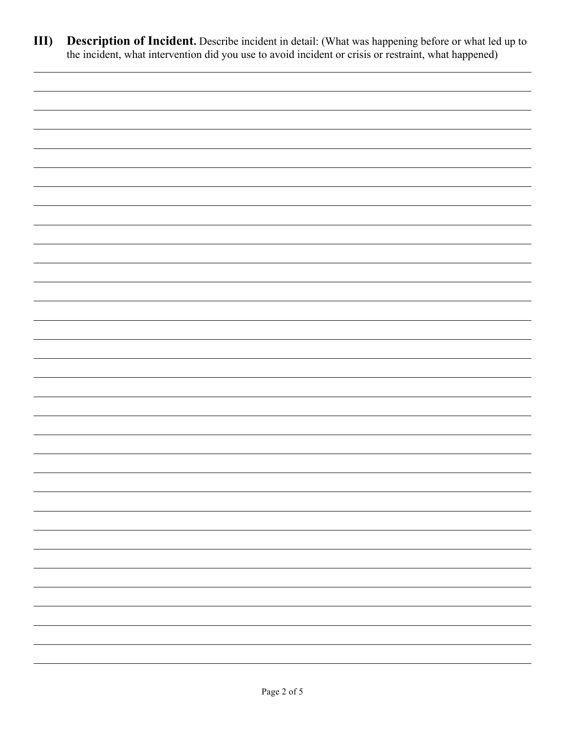**III) Description of Incident.** Describe incident in detail: (What was happening before or what led up to the incident, what intervention did you use to avoid incident or crisis or restraint, what happened)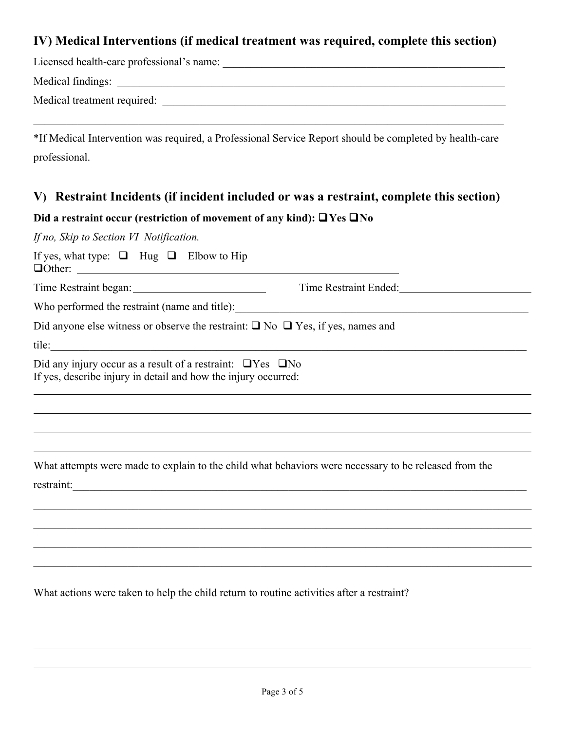#### **IV) Medical Interventions (if medical treatment was required, complete this section)**

| Licensed health-care professional's name: |  |
|-------------------------------------------|--|
|-------------------------------------------|--|

Medical findings: \_\_\_\_\_\_\_\_\_\_\_\_\_\_\_\_\_\_\_\_\_\_\_\_\_\_\_\_\_\_\_\_\_\_\_\_\_\_\_\_\_\_\_\_\_\_\_\_\_\_\_\_\_\_\_\_\_\_\_\_\_\_\_\_\_\_\_\_\_\_

Medical treatment required: \_\_\_\_\_\_\_\_\_\_\_\_\_\_\_\_\_\_\_\_\_\_\_\_\_\_\_\_\_\_\_\_\_\_\_\_\_\_\_\_\_\_\_\_\_\_\_\_\_\_\_\_\_\_\_\_\_\_\_\_\_\_

\*If Medical Intervention was required, a Professional Service Report should be completed by health-care professional.

 $\_$  , and the contribution of the contribution of the contribution of the contribution of  $\mathcal{L}_\text{max}$ 

## **V) Restraint Incidents (if incident included or was a restraint, complete this section)**

#### **Did a restraint occur (restriction of movement of any kind):**  $\Box$  **Yes**  $\Box$  **No**

*If no, Skip to Section VI Notification.*

| If yes, what type: $\Box$ Hug $\Box$ Elbow to Hip<br>$\Box$ Other: $\Box$                                                               |                       |  |  |  |  |
|-----------------------------------------------------------------------------------------------------------------------------------------|-----------------------|--|--|--|--|
|                                                                                                                                         | Time Restraint Ended: |  |  |  |  |
| Who performed the restraint (name and title): ___________________________________                                                       |                       |  |  |  |  |
| Did anyone else witness or observe the restraint: $\Box$ No $\Box$ Yes, if yes, names and                                               |                       |  |  |  |  |
| tile:                                                                                                                                   |                       |  |  |  |  |
| Did any injury occur as a result of a restraint: $\Box$ Yes $\Box$ No<br>If yes, describe injury in detail and how the injury occurred: |                       |  |  |  |  |
|                                                                                                                                         |                       |  |  |  |  |
|                                                                                                                                         |                       |  |  |  |  |
|                                                                                                                                         |                       |  |  |  |  |
| What attempts were made to explain to the child what behaviors were necessary to be released from the<br>restraint:                     |                       |  |  |  |  |
|                                                                                                                                         |                       |  |  |  |  |
|                                                                                                                                         |                       |  |  |  |  |
|                                                                                                                                         |                       |  |  |  |  |
|                                                                                                                                         |                       |  |  |  |  |
| What actions were taken to help the child return to routine activities after a restraint?                                               |                       |  |  |  |  |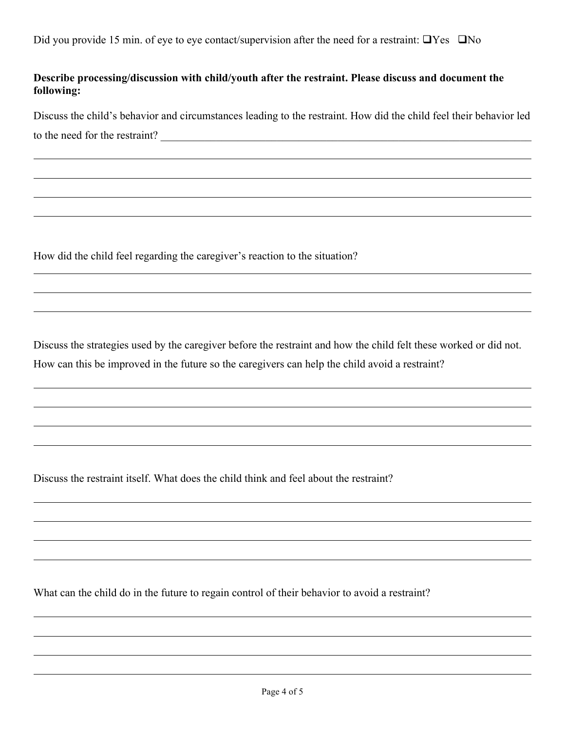#### **Describe processing/discussion with child/youth after the restraint. Please discuss and document the following:**

Discuss the child's behavior and circumstances leading to the restraint. How did the child feel their behavior led to the need for the restraint?

How did the child feel regarding the caregiver's reaction to the situation?

Discuss the strategies used by the caregiver before the restraint and how the child felt these worked or did not. How can this be improved in the future so the caregivers can help the child avoid a restraint?

Discuss the restraint itself. What does the child think and feel about the restraint?

What can the child do in the future to regain control of their behavior to avoid a restraint?